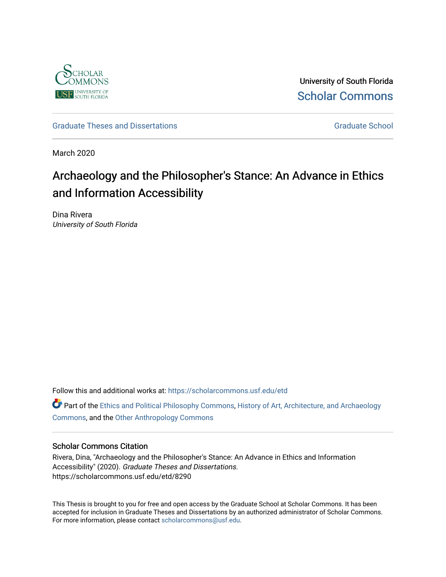

University of South Florida [Scholar Commons](https://scholarcommons.usf.edu/) 

[Graduate Theses and Dissertations](https://scholarcommons.usf.edu/etd) [Graduate School](https://scholarcommons.usf.edu/grad) Craduate School Craduate School

March 2020

# Archaeology and the Philosopher's Stance: An Advance in Ethics and Information Accessibility

Dina Rivera University of South Florida

Follow this and additional works at: [https://scholarcommons.usf.edu/etd](https://scholarcommons.usf.edu/etd?utm_source=scholarcommons.usf.edu%2Fetd%2F8290&utm_medium=PDF&utm_campaign=PDFCoverPages) 

**C** Part of the [Ethics and Political Philosophy Commons,](http://network.bepress.com/hgg/discipline/529?utm_source=scholarcommons.usf.edu%2Fetd%2F8290&utm_medium=PDF&utm_campaign=PDFCoverPages) [History of Art, Architecture, and Archaeology](http://network.bepress.com/hgg/discipline/510?utm_source=scholarcommons.usf.edu%2Fetd%2F8290&utm_medium=PDF&utm_campaign=PDFCoverPages) [Commons](http://network.bepress.com/hgg/discipline/510?utm_source=scholarcommons.usf.edu%2Fetd%2F8290&utm_medium=PDF&utm_campaign=PDFCoverPages), and the [Other Anthropology Commons](http://network.bepress.com/hgg/discipline/324?utm_source=scholarcommons.usf.edu%2Fetd%2F8290&utm_medium=PDF&utm_campaign=PDFCoverPages)

#### Scholar Commons Citation

Rivera, Dina, "Archaeology and the Philosopher's Stance: An Advance in Ethics and Information Accessibility" (2020). Graduate Theses and Dissertations. https://scholarcommons.usf.edu/etd/8290

This Thesis is brought to you for free and open access by the Graduate School at Scholar Commons. It has been accepted for inclusion in Graduate Theses and Dissertations by an authorized administrator of Scholar Commons. For more information, please contact [scholarcommons@usf.edu.](mailto:scholarcommons@usf.edu)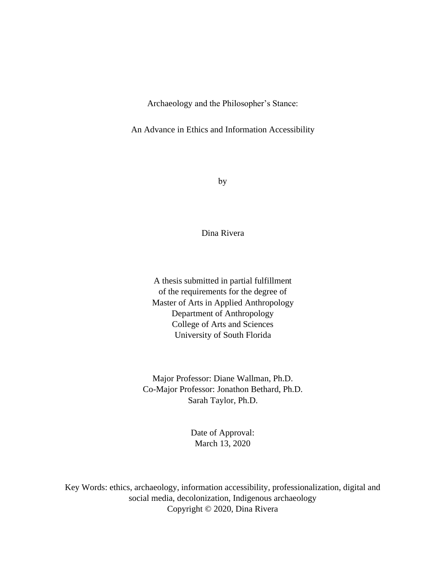Archaeology and the Philosopher's Stance:

An Advance in Ethics and Information Accessibility

by

Dina Rivera

A thesis submitted in partial fulfillment of the requirements for the degree of Master of Arts in Applied Anthropology Department of Anthropology College of Arts and Sciences University of South Florida

Major Professor: Diane Wallman, Ph.D. Co-Major Professor: Jonathon Bethard, Ph.D. Sarah Taylor, Ph.D.

> Date of Approval: March 13, 2020

Key Words: ethics, archaeology, information accessibility, professionalization, digital and social media, decolonization, Indigenous archaeology Copyright © 2020, Dina Rivera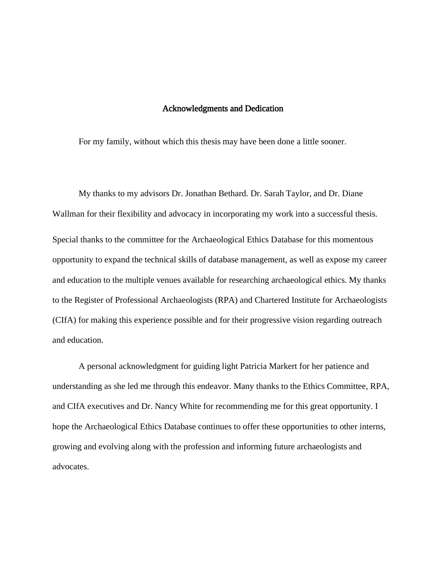#### Acknowledgments and Dedication

For my family, without which this thesis may have been done a little sooner.

My thanks to my advisors Dr. Jonathan Bethard. Dr. Sarah Taylor, and Dr. Diane Wallman for their flexibility and advocacy in incorporating my work into a successful thesis. Special thanks to the committee for the Archaeological Ethics Database for this momentous opportunity to expand the technical skills of database management, as well as expose my career and education to the multiple venues available for researching archaeological ethics. My thanks to the Register of Professional Archaeologists (RPA) and Chartered Institute for Archaeologists (CIfA) for making this experience possible and for their progressive vision regarding outreach and education.

A personal acknowledgment for guiding light Patricia Markert for her patience and understanding as she led me through this endeavor. Many thanks to the Ethics Committee, RPA, and CIfA executives and Dr. Nancy White for recommending me for this great opportunity. I hope the Archaeological Ethics Database continues to offer these opportunities to other interns, growing and evolving along with the profession and informing future archaeologists and advocates.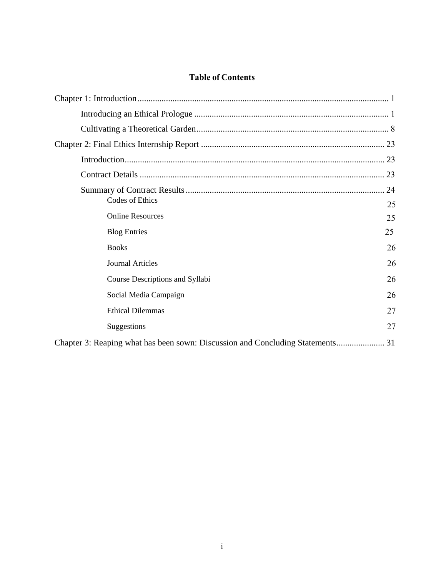# **Table of Contents**

| Codes of Ethics<br>25                                                          |
|--------------------------------------------------------------------------------|
| <b>Online Resources</b><br>25                                                  |
| 25<br><b>Blog Entries</b>                                                      |
| 26<br><b>Books</b>                                                             |
| 26<br><b>Journal Articles</b>                                                  |
| 26<br>Course Descriptions and Syllabi                                          |
| 26<br>Social Media Campaign                                                    |
| 27<br><b>Ethical Dilemmas</b>                                                  |
| 27<br>Suggestions                                                              |
| Chapter 3: Reaping what has been sown: Discussion and Concluding Statements 31 |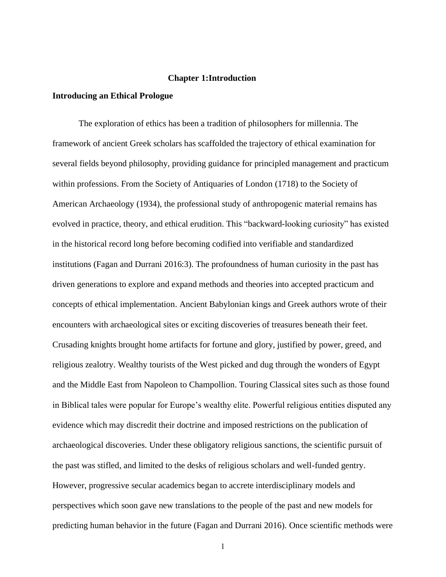#### **Chapter 1:Introduction**

# <span id="page-4-1"></span><span id="page-4-0"></span>**Introducing an Ethical Prologue**

The exploration of ethics has been a tradition of philosophers for millennia. The framework of ancient Greek scholars has scaffolded the trajectory of ethical examination for several fields beyond philosophy, providing guidance for principled management and practicum within professions. From the Society of Antiquaries of London (1718) to the Society of American Archaeology (1934), the professional study of anthropogenic material remains has evolved in practice, theory, and ethical erudition. This "backward-looking curiosity" has existed in the historical record long before becoming codified into verifiable and standardized institutions (Fagan and Durrani 2016:3). The profoundness of human curiosity in the past has driven generations to explore and expand methods and theories into accepted practicum and concepts of ethical implementation. Ancient Babylonian kings and Greek authors wrote of their encounters with archaeological sites or exciting discoveries of treasures beneath their feet. Crusading knights brought home artifacts for fortune and glory, justified by power, greed, and religious zealotry. Wealthy tourists of the West picked and dug through the wonders of Egypt and the Middle East from Napoleon to Champollion. Touring Classical sites such as those found in Biblical tales were popular for Europe's wealthy elite. Powerful religious entities disputed any evidence which may discredit their doctrine and imposed restrictions on the publication of archaeological discoveries. Under these obligatory religious sanctions, the scientific pursuit of the past was stifled, and limited to the desks of religious scholars and well-funded gentry. However, progressive secular academics began to accrete interdisciplinary models and perspectives which soon gave new translations to the people of the past and new models for predicting human behavior in the future (Fagan and Durrani 2016). Once scientific methods were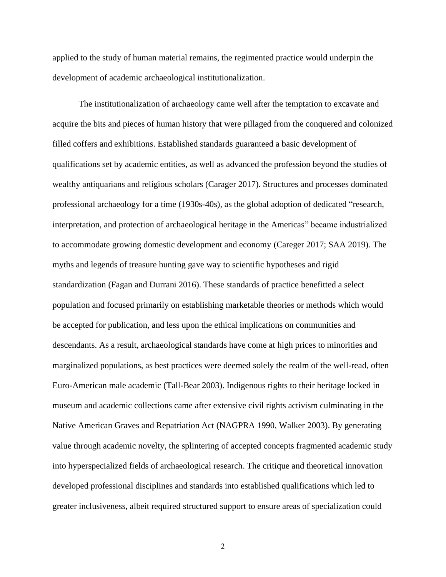applied to the study of human material remains, the regimented practice would underpin the development of academic archaeological institutionalization.

The institutionalization of archaeology came well after the temptation to excavate and acquire the bits and pieces of human history that were pillaged from the conquered and colonized filled coffers and exhibitions. Established standards guaranteed a basic development of qualifications set by academic entities, as well as advanced the profession beyond the studies of wealthy antiquarians and religious scholars (Carager 2017). Structures and processes dominated professional archaeology for a time (1930s-40s), as the global adoption of dedicated "research, interpretation, and protection of archaeological heritage in the Americas" became industrialized to accommodate growing domestic development and economy (Careger 2017; SAA 2019). The myths and legends of treasure hunting gave way to scientific hypotheses and rigid standardization (Fagan and Durrani 2016). These standards of practice benefitted a select population and focused primarily on establishing marketable theories or methods which would be accepted for publication, and less upon the ethical implications on communities and descendants. As a result, archaeological standards have come at high prices to minorities and marginalized populations, as best practices were deemed solely the realm of the well-read, often Euro-American male academic (Tall-Bear 2003). Indigenous rights to their heritage locked in museum and academic collections came after extensive civil rights activism culminating in the Native American Graves and Repatriation Act (NAGPRA 1990, Walker 2003). By generating value through academic novelty, the splintering of accepted concepts fragmented academic study into hyperspecialized fields of archaeological research. The critique and theoretical innovation developed professional disciplines and standards into established qualifications which led to greater inclusiveness, albeit required structured support to ensure areas of specialization could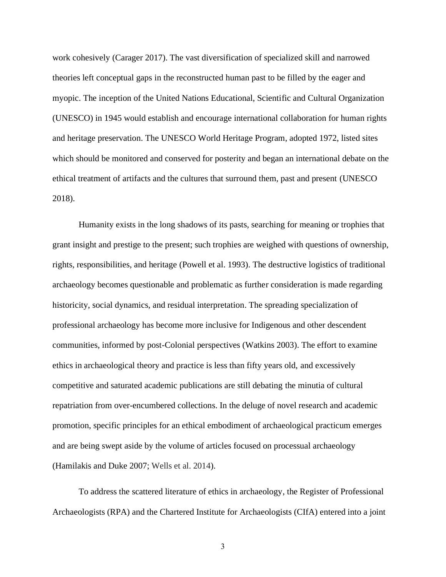work cohesively (Carager 2017). The vast diversification of specialized skill and narrowed theories left conceptual gaps in the reconstructed human past to be filled by the eager and myopic. The inception of the United Nations Educational, Scientific and Cultural Organization (UNESCO) in 1945 would establish and encourage international collaboration for human rights and heritage preservation. The UNESCO World Heritage Program, adopted 1972, listed sites which should be monitored and conserved for posterity and began an international debate on the ethical treatment of artifacts and the cultures that surround them, past and present (UNESCO 2018).

Humanity exists in the long shadows of its pasts, searching for meaning or trophies that grant insight and prestige to the present; such trophies are weighed with questions of ownership, rights, responsibilities, and heritage (Powell et al. 1993). The destructive logistics of traditional archaeology becomes questionable and problematic as further consideration is made regarding historicity, social dynamics, and residual interpretation. The spreading specialization of professional archaeology has become more inclusive for Indigenous and other descendent communities, informed by post-Colonial perspectives (Watkins 2003). The effort to examine ethics in archaeological theory and practice is less than fifty years old, and excessively competitive and saturated academic publications are still debating the minutia of cultural repatriation from over-encumbered collections. In the deluge of novel research and academic promotion, specific principles for an ethical embodiment of archaeological practicum emerges and are being swept aside by the volume of articles focused on processual archaeology (Hamilakis and Duke 2007; Wells et al. 2014).

To address the scattered literature of ethics in archaeology, the Register of Professional Archaeologists (RPA) and the Chartered Institute for Archaeologists (CIfA) entered into a joint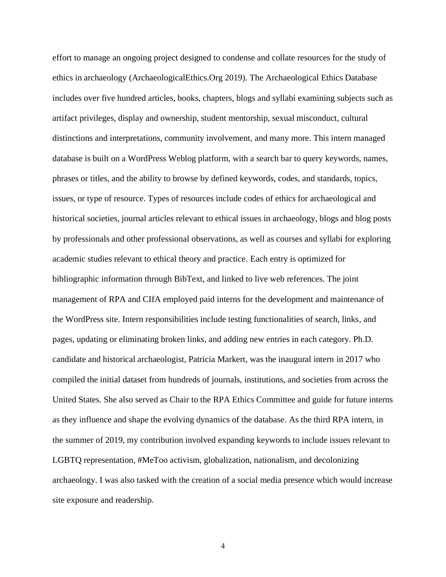effort to manage an ongoing project designed to condense and collate resources for the study of ethics in archaeology (ArchaeologicalEthics.Org 2019). The Archaeological Ethics Database includes over five hundred articles, books, chapters, blogs and syllabi examining subjects such as artifact privileges, display and ownership, student mentorship, sexual misconduct, cultural distinctions and interpretations, community involvement, and many more. This intern managed database is built on a WordPress Weblog platform, with a search bar to query keywords, names, phrases or titles, and the ability to browse by defined keywords, codes, and standards, topics, issues, or type of resource. Types of resources include codes of ethics for archaeological and historical societies, journal articles relevant to ethical issues in archaeology, blogs and blog posts by professionals and other professional observations, as well as courses and syllabi for exploring academic studies relevant to ethical theory and practice. Each entry is optimized for bibliographic information through BibText, and linked to live web references. The joint management of RPA and CIfA employed paid interns for the development and maintenance of the WordPress site. Intern responsibilities include testing functionalities of search, links, and pages, updating or eliminating broken links, and adding new entries in each category. Ph.D. candidate and historical archaeologist, Patricia Markert, was the inaugural intern in 2017 who compiled the initial dataset from hundreds of journals, institutions, and societies from across the United States. She also served as Chair to the RPA Ethics Committee and guide for future interns as they influence and shape the evolving dynamics of the database. As the third RPA intern, in the summer of 2019, my contribution involved expanding keywords to include issues relevant to LGBTQ representation, #MeToo activism, globalization, nationalism, and decolonizing archaeology. I was also tasked with the creation of a social media presence which would increase site exposure and readership.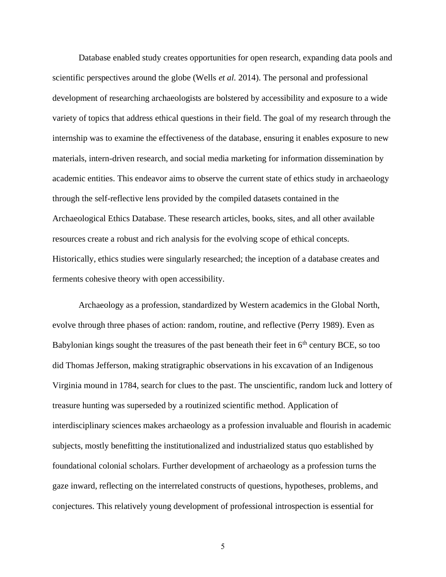Database enabled study creates opportunities for open research, expanding data pools and scientific perspectives around the globe (Wells *et al.* 2014). The personal and professional development of researching archaeologists are bolstered by accessibility and exposure to a wide variety of topics that address ethical questions in their field. The goal of my research through the internship was to examine the effectiveness of the database, ensuring it enables exposure to new materials, intern-driven research, and social media marketing for information dissemination by academic entities. This endeavor aims to observe the current state of ethics study in archaeology through the self-reflective lens provided by the compiled datasets contained in the Archaeological Ethics Database. These research articles, books, sites, and all other available resources create a robust and rich analysis for the evolving scope of ethical concepts. Historically, ethics studies were singularly researched; the inception of a database creates and ferments cohesive theory with open accessibility.

Archaeology as a profession, standardized by Western academics in the Global North, evolve through three phases of action: random, routine, and reflective (Perry 1989). Even as Babylonian kings sought the treasures of the past beneath their feet in  $6<sup>th</sup>$  century BCE, so too did Thomas Jefferson, making stratigraphic observations in his excavation of an Indigenous Virginia mound in 1784, search for clues to the past. The unscientific, random luck and lottery of treasure hunting was superseded by a routinized scientific method. Application of interdisciplinary sciences makes archaeology as a profession invaluable and flourish in academic subjects, mostly benefitting the institutionalized and industrialized status quo established by foundational colonial scholars. Further development of archaeology as a profession turns the gaze inward, reflecting on the interrelated constructs of questions, hypotheses, problems, and conjectures. This relatively young development of professional introspection is essential for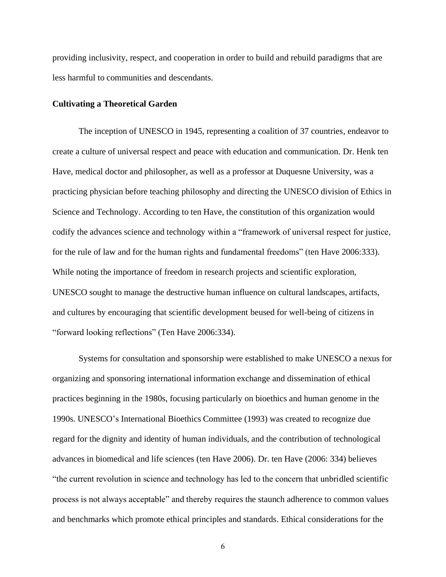providing inclusivity, respect, and cooperation in order to build and rebuild paradigms that are less harmful to communities and descendants.

#### <span id="page-9-0"></span>**Cultivating a Theoretical Garden**

The inception of UNESCO in 1945, representing a coalition of 37 countries, endeavor to create a culture of universal respect and peace with education and communication. Dr. Henk ten Have, medical doctor and philosopher, as well as a professor at Duquesne University, was a practicing physician before teaching philosophy and directing the UNESCO division of Ethics in Science and Technology. According to ten Have, the constitution of this organization would codify the advances science and technology within a "framework of universal respect for justice, for the rule of law and for the human rights and fundamental freedoms" (ten Have 2006:333). While noting the importance of freedom in research projects and scientific exploration, UNESCO sought to manage the destructive human influence on cultural landscapes, artifacts, and cultures by encouraging that scientific development beused for well-being of citizens in "forward looking reflections" (Ten Have 2006:334).

Systems for consultation and sponsorship were established to make UNESCO a nexus for organizing and sponsoring international information exchange and dissemination of ethical practices beginning in the 1980s, focusing particularly on bioethics and human genome in the 1990s. UNESCO's International Bioethics Committee (1993) was created to recognize due regard for the dignity and identity of human individuals, and the contribution of technological advances in biomedical and life sciences (ten Have 2006). Dr. ten Have (2006: 334) believes "the current revolution in science and technology has led to the concern that unbridled scientific process is not always acceptable" and thereby requires the staunch adherence to common values and benchmarks which promote ethical principles and standards. Ethical considerations for the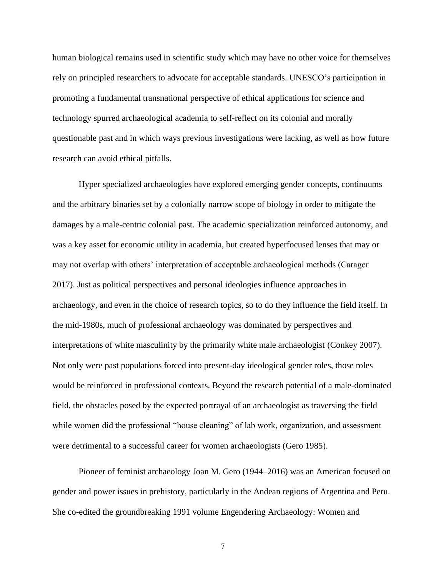human biological remains used in scientific study which may have no other voice for themselves rely on principled researchers to advocate for acceptable standards. UNESCO's participation in promoting a fundamental transnational perspective of ethical applications for science and technology spurred archaeological academia to self-reflect on its colonial and morally questionable past and in which ways previous investigations were lacking, as well as how future research can avoid ethical pitfalls.

Hyper specialized archaeologies have explored emerging gender concepts, continuums and the arbitrary binaries set by a colonially narrow scope of biology in order to mitigate the damages by a male-centric colonial past. The academic specialization reinforced autonomy, and was a key asset for economic utility in academia, but created hyperfocused lenses that may or may not overlap with others' interpretation of acceptable archaeological methods (Carager 2017). Just as political perspectives and personal ideologies influence approaches in archaeology, and even in the choice of research topics, so to do they influence the field itself. In the mid-1980s, much of professional archaeology was dominated by perspectives and interpretations of white masculinity by the primarily white male archaeologist (Conkey 2007). Not only were past populations forced into present-day ideological gender roles, those roles would be reinforced in professional contexts. Beyond the research potential of a male-dominated field, the obstacles posed by the expected portrayal of an archaeologist as traversing the field while women did the professional "house cleaning" of lab work, organization, and assessment were detrimental to a successful career for women archaeologists (Gero 1985).

Pioneer of feminist archaeology Joan M. Gero (1944–2016) was an American focused on gender and power issues in prehistory, particularly in the Andean regions of Argentina and Peru. She co-edited the groundbreaking 1991 volume Engendering Archaeology: Women and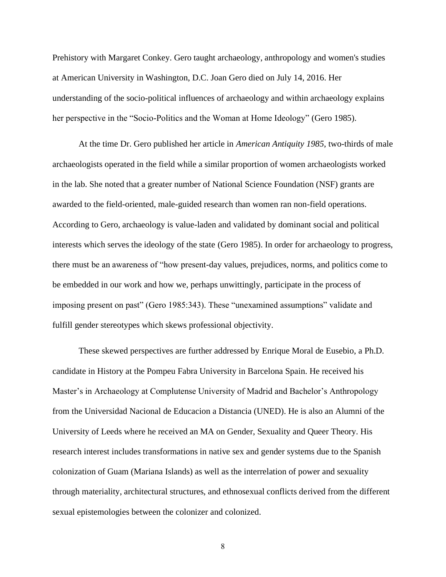Prehistory with Margaret Conkey. Gero taught archaeology, anthropology and women's studies at American University in Washington, D.C. Joan Gero died on July 14, 2016. Her understanding of the socio-political influences of archaeology and within archaeology explains her perspective in the "Socio-Politics and the Woman at Home Ideology" (Gero 1985).

At the time Dr. Gero published her article in *American Antiquity 1985*, two-thirds of male archaeologists operated in the field while a similar proportion of women archaeologists worked in the lab. She noted that a greater number of National Science Foundation (NSF) grants are awarded to the field-oriented, male-guided research than women ran non-field operations. According to Gero, archaeology is value-laden and validated by dominant social and political interests which serves the ideology of the state (Gero 1985). In order for archaeology to progress, there must be an awareness of "how present-day values, prejudices, norms, and politics come to be embedded in our work and how we, perhaps unwittingly, participate in the process of imposing present on past" (Gero 1985:343). These "unexamined assumptions" validate and fulfill gender stereotypes which skews professional objectivity.

These skewed perspectives are further addressed by Enrique Moral de Eusebio, a Ph.D. candidate in History at the Pompeu Fabra University in Barcelona Spain. He received his Master's in Archaeology at Complutense University of Madrid and Bachelor's Anthropology from the Universidad Nacional de Educacion a Distancia (UNED). He is also an Alumni of the University of Leeds where he received an MA on Gender, Sexuality and Queer Theory. His research interest includes transformations in native sex and gender systems due to the Spanish colonization of Guam (Mariana Islands) as well as the interrelation of power and sexuality through materiality, architectural structures, and ethnosexual conflicts derived from the different sexual epistemologies between the colonizer and colonized.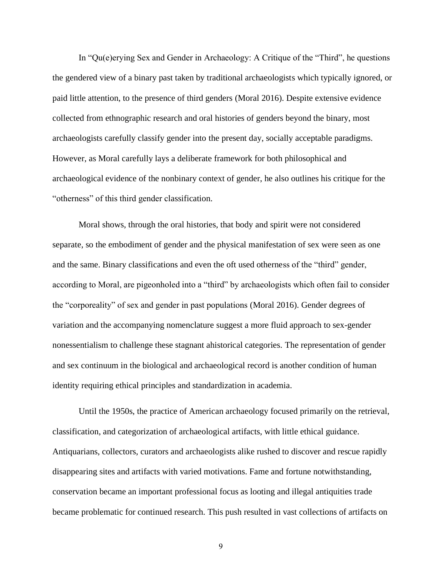In "Qu(e)erying Sex and Gender in Archaeology: A Critique of the "Third", he questions the gendered view of a binary past taken by traditional archaeologists which typically ignored, or paid little attention, to the presence of third genders (Moral 2016). Despite extensive evidence collected from ethnographic research and oral histories of genders beyond the binary, most archaeologists carefully classify gender into the present day, socially acceptable paradigms. However, as Moral carefully lays a deliberate framework for both philosophical and archaeological evidence of the nonbinary context of gender, he also outlines his critique for the "otherness" of this third gender classification.

Moral shows, through the oral histories, that body and spirit were not considered separate, so the embodiment of gender and the physical manifestation of sex were seen as one and the same. Binary classifications and even the oft used otherness of the "third" gender, according to Moral, are pigeonholed into a "third" by archaeologists which often fail to consider the "corporeality" of sex and gender in past populations (Moral 2016). Gender degrees of variation and the accompanying nomenclature suggest a more fluid approach to sex-gender nonessentialism to challenge these stagnant ahistorical categories. The representation of gender and sex continuum in the biological and archaeological record is another condition of human identity requiring ethical principles and standardization in academia.

Until the 1950s, the practice of American archaeology focused primarily on the retrieval, classification, and categorization of archaeological artifacts, with little ethical guidance. Antiquarians, collectors, curators and archaeologists alike rushed to discover and rescue rapidly disappearing sites and artifacts with varied motivations. Fame and fortune notwithstanding, conservation became an important professional focus as looting and illegal antiquities trade became problematic for continued research. This push resulted in vast collections of artifacts on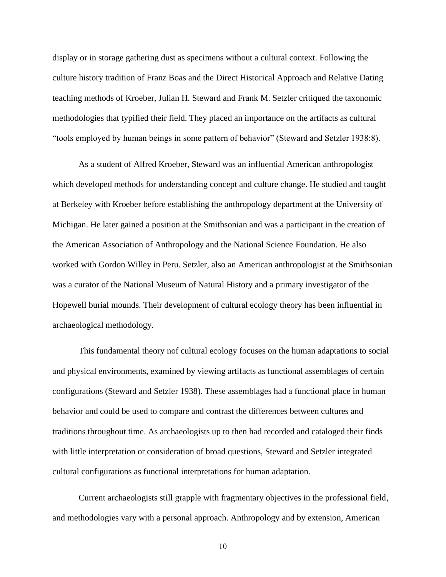display or in storage gathering dust as specimens without a cultural context. Following the culture history tradition of Franz Boas and the Direct Historical Approach and Relative Dating teaching methods of Kroeber, Julian H. Steward and Frank M. Setzler critiqued the taxonomic methodologies that typified their field. They placed an importance on the artifacts as cultural "tools employed by human beings in some pattern of behavior" (Steward and Setzler 1938:8).

As a student of Alfred Kroeber, Steward was an influential American anthropologist which developed methods for understanding concept and culture change. He studied and taught at Berkeley with Kroeber before establishing the anthropology department at the University of Michigan. He later gained a position at the Smithsonian and was a participant in the creation of the American Association of Anthropology and the National Science Foundation. He also worked with Gordon Willey in Peru. Setzler, also an American anthropologist at the Smithsonian was a curator of the National Museum of Natural History and a primary investigator of the Hopewell burial mounds. Their development of cultural ecology theory has been influential in archaeological methodology.

This fundamental theory nof cultural ecology focuses on the human adaptations to social and physical environments, examined by viewing artifacts as functional assemblages of certain configurations (Steward and Setzler 1938). These assemblages had a functional place in human behavior and could be used to compare and contrast the differences between cultures and traditions throughout time. As archaeologists up to then had recorded and cataloged their finds with little interpretation or consideration of broad questions, Steward and Setzler integrated cultural configurations as functional interpretations for human adaptation.

Current archaeologists still grapple with fragmentary objectives in the professional field, and methodologies vary with a personal approach. Anthropology and by extension, American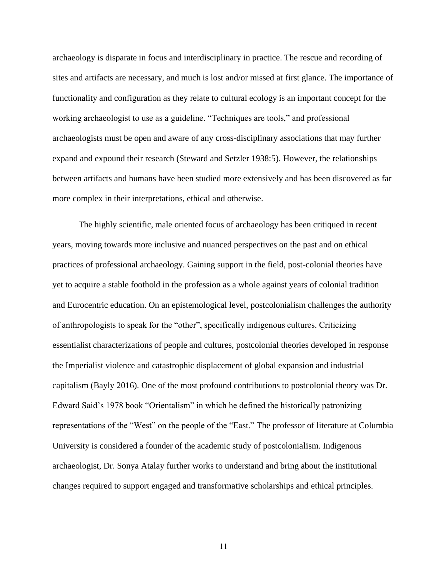archaeology is disparate in focus and interdisciplinary in practice. The rescue and recording of sites and artifacts are necessary, and much is lost and/or missed at first glance. The importance of functionality and configuration as they relate to cultural ecology is an important concept for the working archaeologist to use as a guideline. "Techniques are tools," and professional archaeologists must be open and aware of any cross-disciplinary associations that may further expand and expound their research (Steward and Setzler 1938:5). However, the relationships between artifacts and humans have been studied more extensively and has been discovered as far more complex in their interpretations, ethical and otherwise.

The highly scientific, male oriented focus of archaeology has been critiqued in recent years, moving towards more inclusive and nuanced perspectives on the past and on ethical practices of professional archaeology. Gaining support in the field, post-colonial theories have yet to acquire a stable foothold in the profession as a whole against years of colonial tradition and Eurocentric education. On an epistemological level, postcolonialism challenges the authority of anthropologists to speak for the "other", specifically indigenous cultures. Criticizing essentialist characterizations of people and cultures, postcolonial theories developed in response the Imperialist violence and catastrophic displacement of global expansion and industrial capitalism (Bayly 2016). One of the most profound contributions to postcolonial theory was Dr. Edward Said's 1978 book "Orientalism" in which he defined the historically patronizing representations of the "West" on the people of the "East." The professor of literature at Columbia University is considered a founder of the academic study of postcolonialism. Indigenous archaeologist, Dr. Sonya Atalay further works to understand and bring about the institutional changes required to support engaged and transformative scholarships and ethical principles.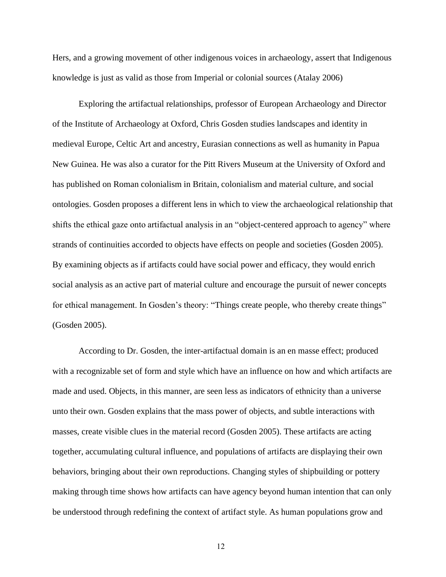Hers, and a growing movement of other indigenous voices in archaeology, assert that Indigenous knowledge is just as valid as those from Imperial or colonial sources (Atalay 2006)

Exploring the artifactual relationships, professor of European Archaeology and Director of the Institute of Archaeology at Oxford, Chris Gosden studies landscapes and identity in medieval Europe, Celtic Art and ancestry, Eurasian connections as well as humanity in Papua New Guinea. He was also a curator for the Pitt Rivers Museum at the University of Oxford and has published on Roman colonialism in Britain, colonialism and material culture, and social ontologies. Gosden proposes a different lens in which to view the archaeological relationship that shifts the ethical gaze onto artifactual analysis in an "object-centered approach to agency" where strands of continuities accorded to objects have effects on people and societies (Gosden 2005). By examining objects as if artifacts could have social power and efficacy, they would enrich social analysis as an active part of material culture and encourage the pursuit of newer concepts for ethical management. In Gosden's theory: "Things create people, who thereby create things" (Gosden 2005).

According to Dr. Gosden, the inter-artifactual domain is an en masse effect; produced with a recognizable set of form and style which have an influence on how and which artifacts are made and used. Objects, in this manner, are seen less as indicators of ethnicity than a universe unto their own. Gosden explains that the mass power of objects, and subtle interactions with masses, create visible clues in the material record (Gosden 2005). These artifacts are acting together, accumulating cultural influence, and populations of artifacts are displaying their own behaviors, bringing about their own reproductions. Changing styles of shipbuilding or pottery making through time shows how artifacts can have agency beyond human intention that can only be understood through redefining the context of artifact style. As human populations grow and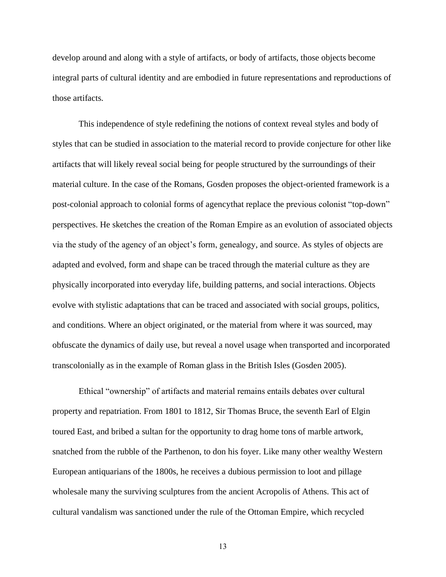develop around and along with a style of artifacts, or body of artifacts, those objects become integral parts of cultural identity and are embodied in future representations and reproductions of those artifacts.

This independence of style redefining the notions of context reveal styles and body of styles that can be studied in association to the material record to provide conjecture for other like artifacts that will likely reveal social being for people structured by the surroundings of their material culture. In the case of the Romans, Gosden proposes the object-oriented framework is a post-colonial approach to colonial forms of agencythat replace the previous colonist "top-down" perspectives. He sketches the creation of the Roman Empire as an evolution of associated objects via the study of the agency of an object's form, genealogy, and source. As styles of objects are adapted and evolved, form and shape can be traced through the material culture as they are physically incorporated into everyday life, building patterns, and social interactions. Objects evolve with stylistic adaptations that can be traced and associated with social groups, politics, and conditions. Where an object originated, or the material from where it was sourced, may obfuscate the dynamics of daily use, but reveal a novel usage when transported and incorporated transcolonially as in the example of Roman glass in the British Isles (Gosden 2005).

Ethical "ownership" of artifacts and material remains entails debates over cultural property and repatriation. From 1801 to 1812, Sir Thomas Bruce, the seventh Earl of Elgin toured East, and bribed a sultan for the opportunity to drag home tons of marble artwork, snatched from the rubble of the Parthenon, to don his foyer. Like many other wealthy Western European antiquarians of the 1800s, he receives a dubious permission to loot and pillage wholesale many the surviving sculptures from the ancient Acropolis of Athens. This act of cultural vandalism was sanctioned under the rule of the Ottoman Empire, which recycled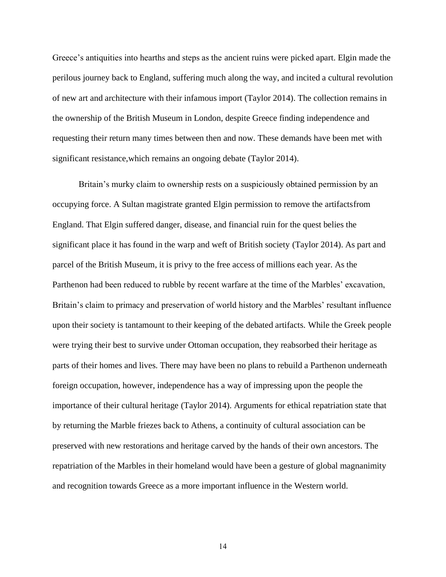Greece's antiquities into hearths and steps as the ancient ruins were picked apart. Elgin made the perilous journey back to England, suffering much along the way, and incited a cultural revolution of new art and architecture with their infamous import (Taylor 2014). The collection remains in the ownership of the British Museum in London, despite Greece finding independence and requesting their return many times between then and now. These demands have been met with significant resistance,which remains an ongoing debate (Taylor 2014).

Britain's murky claim to ownership rests on a suspiciously obtained permission by an occupying force. A Sultan magistrate granted Elgin permission to remove the artifactsfrom England. That Elgin suffered danger, disease, and financial ruin for the quest belies the significant place it has found in the warp and weft of British society (Taylor 2014). As part and parcel of the British Museum, it is privy to the free access of millions each year. As the Parthenon had been reduced to rubble by recent warfare at the time of the Marbles' excavation, Britain's claim to primacy and preservation of world history and the Marbles' resultant influence upon their society is tantamount to their keeping of the debated artifacts. While the Greek people were trying their best to survive under Ottoman occupation, they reabsorbed their heritage as parts of their homes and lives. There may have been no plans to rebuild a Parthenon underneath foreign occupation, however, independence has a way of impressing upon the people the importance of their cultural heritage (Taylor 2014). Arguments for ethical repatriation state that by returning the Marble friezes back to Athens, a continuity of cultural association can be preserved with new restorations and heritage carved by the hands of their own ancestors. The repatriation of the Marbles in their homeland would have been a gesture of global magnanimity and recognition towards Greece as a more important influence in the Western world.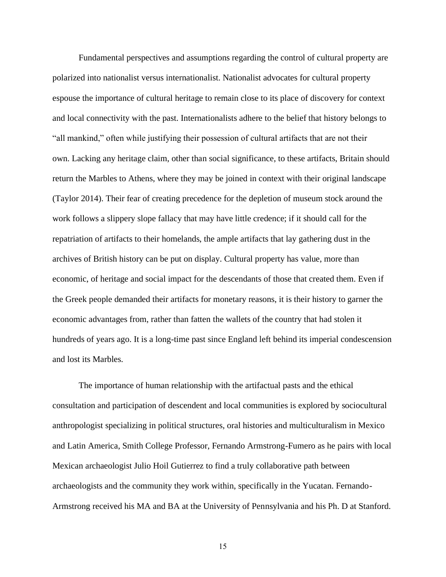Fundamental perspectives and assumptions regarding the control of cultural property are polarized into nationalist versus internationalist. Nationalist advocates for cultural property espouse the importance of cultural heritage to remain close to its place of discovery for context and local connectivity with the past. Internationalists adhere to the belief that history belongs to "all mankind," often while justifying their possession of cultural artifacts that are not their own. Lacking any heritage claim, other than social significance, to these artifacts, Britain should return the Marbles to Athens, where they may be joined in context with their original landscape (Taylor 2014). Their fear of creating precedence for the depletion of museum stock around the work follows a slippery slope fallacy that may have little credence; if it should call for the repatriation of artifacts to their homelands, the ample artifacts that lay gathering dust in the archives of British history can be put on display. Cultural property has value, more than economic, of heritage and social impact for the descendants of those that created them. Even if the Greek people demanded their artifacts for monetary reasons, it is their history to garner the economic advantages from, rather than fatten the wallets of the country that had stolen it hundreds of years ago. It is a long-time past since England left behind its imperial condescension and lost its Marbles.

The importance of human relationship with the artifactual pasts and the ethical consultation and participation of descendent and local communities is explored by sociocultural anthropologist specializing in political structures, oral histories and multiculturalism in Mexico and Latin America, Smith College Professor, Fernando Armstrong-Fumero as he pairs with local Mexican archaeologist Julio Hoil Gutierrez to find a truly collaborative path between archaeologists and the community they work within, specifically in the Yucatan. Fernando-Armstrong received his MA and BA at the University of Pennsylvania and his Ph. D at Stanford.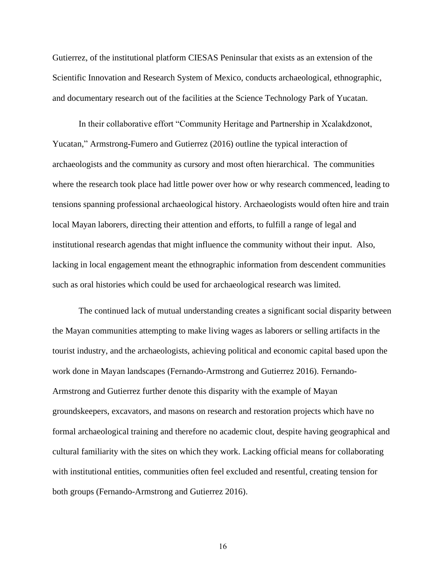Gutierrez, of the institutional platform CIESAS Peninsular that exists as an extension of the Scientific Innovation and Research System of Mexico, conducts archaeological, ethnographic, and documentary research out of the facilities at the Science Technology Park of Yucatan.

In their collaborative effort "Community Heritage and Partnership in Xcalakdzonot, Yucatan," Armstrong-Fumero and Gutierrez (2016) outline the typical interaction of archaeologists and the community as cursory and most often hierarchical. The communities where the research took place had little power over how or why research commenced, leading to tensions spanning professional archaeological history. Archaeologists would often hire and train local Mayan laborers, directing their attention and efforts, to fulfill a range of legal and institutional research agendas that might influence the community without their input. Also, lacking in local engagement meant the ethnographic information from descendent communities such as oral histories which could be used for archaeological research was limited.

The continued lack of mutual understanding creates a significant social disparity between the Mayan communities attempting to make living wages as laborers or selling artifacts in the tourist industry, and the archaeologists, achieving political and economic capital based upon the work done in Mayan landscapes (Fernando-Armstrong and Gutierrez 2016). Fernando-Armstrong and Gutierrez further denote this disparity with the example of Mayan groundskeepers, excavators, and masons on research and restoration projects which have no formal archaeological training and therefore no academic clout, despite having geographical and cultural familiarity with the sites on which they work. Lacking official means for collaborating with institutional entities, communities often feel excluded and resentful, creating tension for both groups (Fernando-Armstrong and Gutierrez 2016).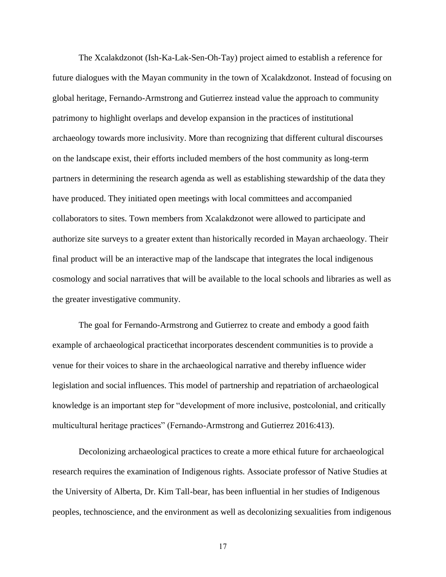The Xcalakdzonot (Ish-Ka-Lak-Sen-Oh-Tay) project aimed to establish a reference for future dialogues with the Mayan community in the town of Xcalakdzonot. Instead of focusing on global heritage, Fernando-Armstrong and Gutierrez instead value the approach to community patrimony to highlight overlaps and develop expansion in the practices of institutional archaeology towards more inclusivity. More than recognizing that different cultural discourses on the landscape exist, their efforts included members of the host community as long-term partners in determining the research agenda as well as establishing stewardship of the data they have produced. They initiated open meetings with local committees and accompanied collaborators to sites. Town members from Xcalakdzonot were allowed to participate and authorize site surveys to a greater extent than historically recorded in Mayan archaeology. Their final product will be an interactive map of the landscape that integrates the local indigenous cosmology and social narratives that will be available to the local schools and libraries as well as the greater investigative community.

The goal for Fernando-Armstrong and Gutierrez to create and embody a good faith example of archaeological practicethat incorporates descendent communities is to provide a venue for their voices to share in the archaeological narrative and thereby influence wider legislation and social influences. This model of partnership and repatriation of archaeological knowledge is an important step for "development of more inclusive, postcolonial, and critically multicultural heritage practices" (Fernando-Armstrong and Gutierrez 2016:413).

Decolonizing archaeological practices to create a more ethical future for archaeological research requires the examination of Indigenous rights. Associate professor of Native Studies at the University of Alberta, Dr. Kim Tall-bear, has been influential in her studies of Indigenous peoples, technoscience, and the environment as well as decolonizing sexualities from indigenous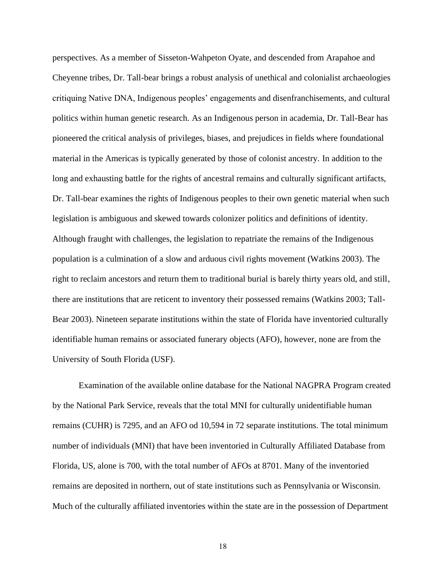perspectives. As a member of Sisseton-Wahpeton Oyate, and descended from Arapahoe and Cheyenne tribes, Dr. Tall-bear brings a robust analysis of unethical and colonialist archaeologies critiquing Native DNA, Indigenous peoples' engagements and disenfranchisements, and cultural politics within human genetic research. As an Indigenous person in academia, Dr. Tall-Bear has pioneered the critical analysis of privileges, biases, and prejudices in fields where foundational material in the Americas is typically generated by those of colonist ancestry. In addition to the long and exhausting battle for the rights of ancestral remains and culturally significant artifacts, Dr. Tall-bear examines the rights of Indigenous peoples to their own genetic material when such legislation is ambiguous and skewed towards colonizer politics and definitions of identity. Although fraught with challenges, the legislation to repatriate the remains of the Indigenous population is a culmination of a slow and arduous civil rights movement (Watkins 2003). The right to reclaim ancestors and return them to traditional burial is barely thirty years old, and still, there are institutions that are reticent to inventory their possessed remains (Watkins 2003; Tall-Bear 2003). Nineteen separate institutions within the state of Florida have inventoried culturally identifiable human remains or associated funerary objects (AFO), however, none are from the University of South Florida (USF).

Examination of the available online database for the National NAGPRA Program created by the National Park Service, reveals that the total MNI for culturally unidentifiable human remains (CUHR) is 7295, and an AFO od 10,594 in 72 separate institutions. The total minimum number of individuals (MNI) that have been inventoried in Culturally Affiliated Database from Florida, US, alone is 700, with the total number of AFOs at 8701. Many of the inventoried remains are deposited in northern, out of state institutions such as Pennsylvania or Wisconsin. Much of the culturally affiliated inventories within the state are in the possession of Department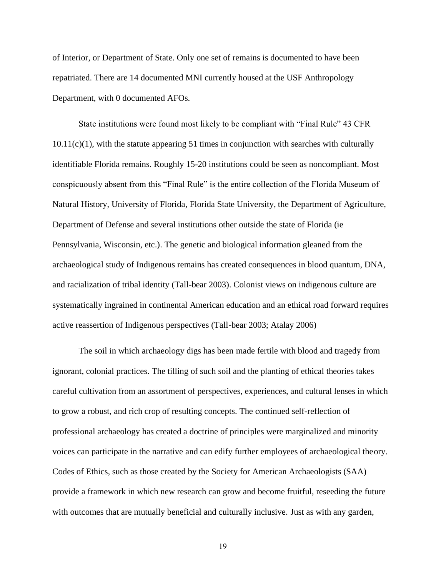of Interior, or Department of State. Only one set of remains is documented to have been repatriated. There are 14 documented MNI currently housed at the USF Anthropology Department, with 0 documented AFOs.

State institutions were found most likely to be compliant with "Final Rule" 43 CFR  $10.11(c)(1)$ , with the statute appearing 51 times in conjunction with searches with culturally identifiable Florida remains. Roughly 15-20 institutions could be seen as noncompliant. Most conspicuously absent from this "Final Rule" is the entire collection of the Florida Museum of Natural History, University of Florida, Florida State University, the Department of Agriculture, Department of Defense and several institutions other outside the state of Florida (ie Pennsylvania, Wisconsin, etc.). The genetic and biological information gleaned from the archaeological study of Indigenous remains has created consequences in blood quantum, DNA, and racialization of tribal identity (Tall-bear 2003). Colonist views on indigenous culture are systematically ingrained in continental American education and an ethical road forward requires active reassertion of Indigenous perspectives (Tall-bear 2003; Atalay 2006)

The soil in which archaeology digs has been made fertile with blood and tragedy from ignorant, colonial practices. The tilling of such soil and the planting of ethical theories takes careful cultivation from an assortment of perspectives, experiences, and cultural lenses in which to grow a robust, and rich crop of resulting concepts. The continued self-reflection of professional archaeology has created a doctrine of principles were marginalized and minority voices can participate in the narrative and can edify further employees of archaeological theory. Codes of Ethics, such as those created by the Society for American Archaeologists (SAA) provide a framework in which new research can grow and become fruitful, reseeding the future with outcomes that are mutually beneficial and culturally inclusive. Just as with any garden,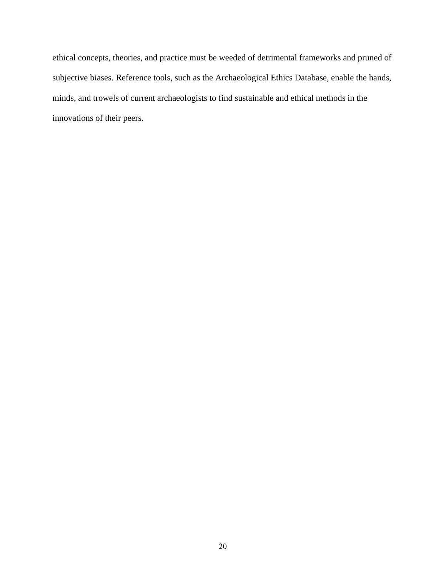ethical concepts, theories, and practice must be weeded of detrimental frameworks and pruned of subjective biases. Reference tools, such as the Archaeological Ethics Database, enable the hands, minds, and trowels of current archaeologists to find sustainable and ethical methods in the innovations of their peers.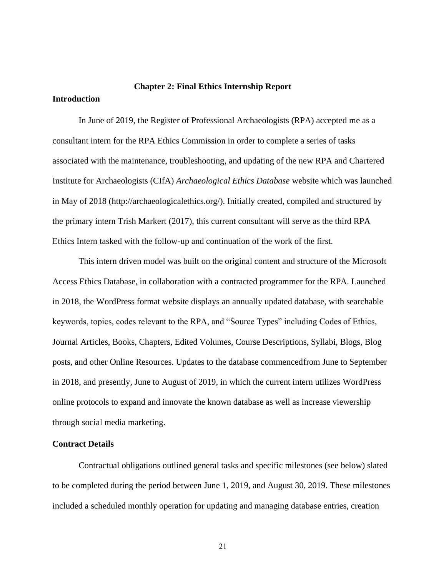# <span id="page-24-0"></span>**Chapter 2: Final Ethics Internship Report**

<span id="page-24-1"></span>**Introduction**

In June of 2019, the Register of Professional Archaeologists (RPA) accepted me as a consultant intern for the RPA Ethics Commission in order to complete a series of tasks associated with the maintenance, troubleshooting, and updating of the new RPA and Chartered Institute for Archaeologists (CIfA) *Archaeological Ethics Database* website which was launched in May of 2018 (http://archaeologicalethics.org/). Initially created, compiled and structured by the primary intern Trish Markert (2017), this current consultant will serve as the third RPA Ethics Intern tasked with the follow-up and continuation of the work of the first.

This intern driven model was built on the original content and structure of the Microsoft Access Ethics Database, in collaboration with a contracted programmer for the RPA. Launched in 2018, the WordPress format website displays an annually updated database, with searchable keywords, topics, codes relevant to the RPA, and "Source Types" including Codes of Ethics, Journal Articles, Books, Chapters, Edited Volumes, Course Descriptions, Syllabi, Blogs, Blog posts, and other Online Resources. Updates to the database commencedfrom June to September in 2018, and presently, June to August of 2019, in which the current intern utilizes WordPress online protocols to expand and innovate the known database as well as increase viewership through social media marketing.

#### <span id="page-24-2"></span>**Contract Details**

Contractual obligations outlined general tasks and specific milestones (see below) slated to be completed during the period between June 1, 2019, and August 30, 2019. These milestones included a scheduled monthly operation for updating and managing database entries, creation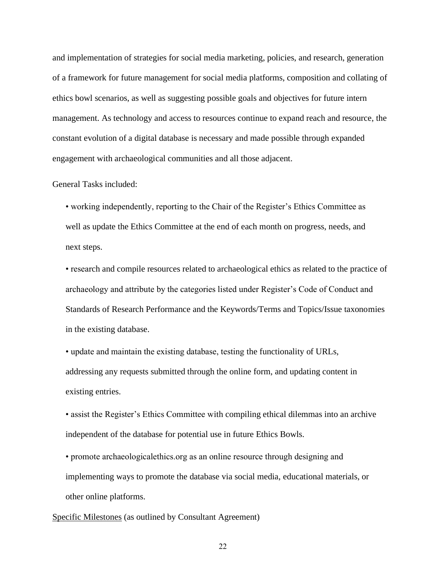and implementation of strategies for social media marketing, policies, and research, generation of a framework for future management for social media platforms, composition and collating of ethics bowl scenarios, as well as suggesting possible goals and objectives for future intern management. As technology and access to resources continue to expand reach and resource, the constant evolution of a digital database is necessary and made possible through expanded engagement with archaeological communities and all those adjacent.

#### General Tasks included:

• working independently, reporting to the Chair of the Register's Ethics Committee as well as update the Ethics Committee at the end of each month on progress, needs, and next steps.

• research and compile resources related to archaeological ethics as related to the practice of archaeology and attribute by the categories listed under Register's Code of Conduct and Standards of Research Performance and the Keywords/Terms and Topics/Issue taxonomies in the existing database.

• update and maintain the existing database, testing the functionality of URLs, addressing any requests submitted through the online form, and updating content in existing entries.

• assist the Register's Ethics Committee with compiling ethical dilemmas into an archive independent of the database for potential use in future Ethics Bowls.

• promote archaeologicalethics.org as an online resource through designing and implementing ways to promote the database via social media, educational materials, or other online platforms.

Specific Milestones (as outlined by Consultant Agreement)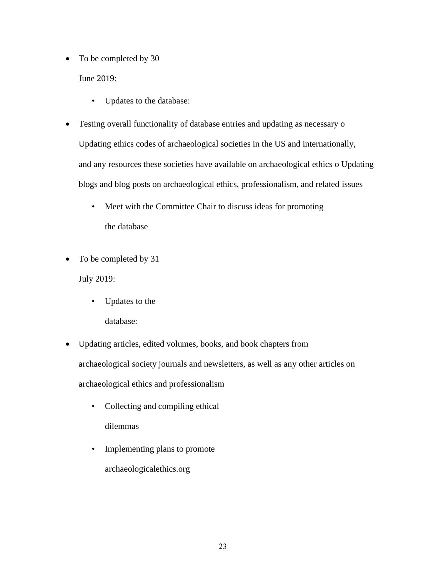• To be completed by 30

June 2019:

- Updates to the database:
- Testing overall functionality of database entries and updating as necessary o Updating ethics codes of archaeological societies in the US and internationally, and any resources these societies have available on archaeological ethics o Updating blogs and blog posts on archaeological ethics, professionalism, and related issues
	- Meet with the Committee Chair to discuss ideas for promoting the database
- To be completed by 31

July 2019:

• Updates to the

database:

- Updating articles, edited volumes, books, and book chapters from archaeological society journals and newsletters, as well as any other articles on archaeological ethics and professionalism
	- Collecting and compiling ethical dilemmas
	- Implementing plans to promote archaeologicalethics.org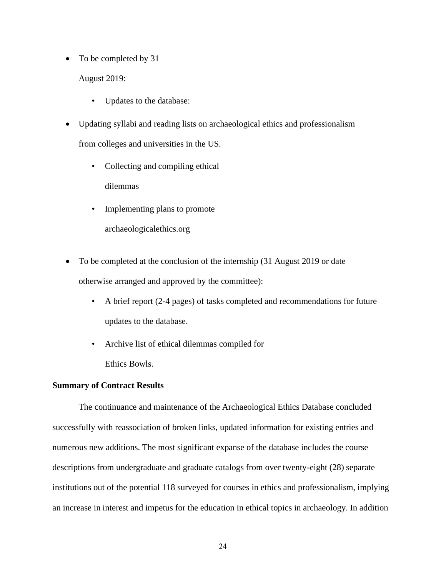• To be completed by 31

August 2019:

- Updates to the database:
- Updating syllabi and reading lists on archaeological ethics and professionalism from colleges and universities in the US.
	- Collecting and compiling ethical dilemmas
	- Implementing plans to promote
		- archaeologicalethics.org
- To be completed at the conclusion of the internship (31 August 2019 or date otherwise arranged and approved by the committee):
	- A brief report (2-4 pages) of tasks completed and recommendations for future updates to the database.
	- Archive list of ethical dilemmas compiled for Ethics Bowls.

### <span id="page-27-0"></span>**Summary of Contract Results**

The continuance and maintenance of the Archaeological Ethics Database concluded successfully with reassociation of broken links, updated information for existing entries and numerous new additions. The most significant expanse of the database includes the course descriptions from undergraduate and graduate catalogs from over twenty-eight (28) separate institutions out of the potential 118 surveyed for courses in ethics and professionalism, implying an increase in interest and impetus for the education in ethical topics in archaeology. In addition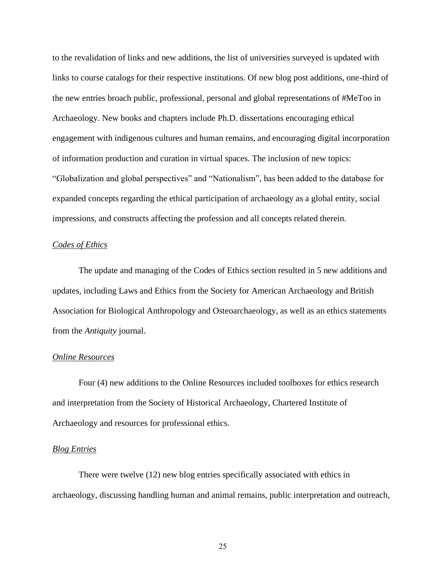to the revalidation of links and new additions, the list of universities surveyed is updated with links to course catalogs for their respective institutions. Of new blog post additions, one-third of the new entries broach public, professional, personal and global representations of #MeToo in Archaeology. New books and chapters include Ph.D. dissertations encouraging ethical engagement with indigenous cultures and human remains, and encouraging digital incorporation of information production and curation in virtual spaces. The inclusion of new topics: "Globalization and global perspectives" and "Nationalism", has been added to the database for expanded concepts regarding the ethical participation of archaeology as a global entity, social impressions, and constructs affecting the profession and all concepts related therein.

#### *Codes of Ethics*

The update and managing of the Codes of Ethics section resulted in 5 new additions and updates, including Laws and Ethics from the Society for American Archaeology and British Association for Biological Anthropology and Osteoarchaeology, as well as an ethics statements from the *Antiquity* journal.

#### *Online Resources*

Four (4) new additions to the Online Resources included toolboxes for ethics research and interpretation from the Society of Historical Archaeology, Chartered Institute of Archaeology and resources for professional ethics.

# *Blog Entries*

There were twelve (12) new blog entries specifically associated with ethics in archaeology, discussing handling human and animal remains, public interpretation and outreach,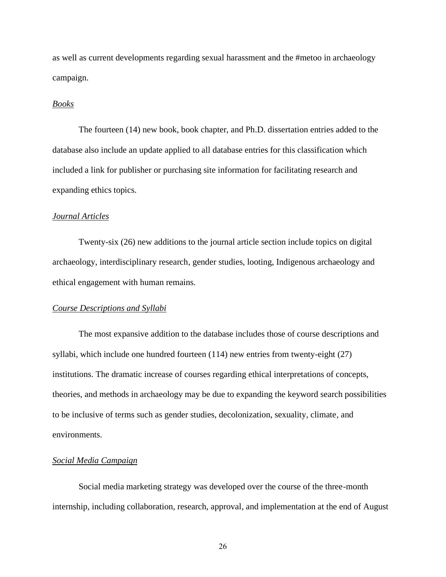as well as current developments regarding sexual harassment and the #metoo in archaeology campaign.

#### *Books*

The fourteen (14) new book, book chapter, and Ph.D. dissertation entries added to the database also include an update applied to all database entries for this classification which included a link for publisher or purchasing site information for facilitating research and expanding ethics topics.

# *Journal Articles*

Twenty-six (26) new additions to the journal article section include topics on digital archaeology, interdisciplinary research, gender studies, looting, Indigenous archaeology and ethical engagement with human remains.

### *Course Descriptions and Syllabi*

The most expansive addition to the database includes those of course descriptions and syllabi, which include one hundred fourteen (114) new entries from twenty-eight (27) institutions. The dramatic increase of courses regarding ethical interpretations of concepts, theories, and methods in archaeology may be due to expanding the keyword search possibilities to be inclusive of terms such as gender studies, decolonization, sexuality, climate, and environments.

#### *Social Media Campaign*

Social media marketing strategy was developed over the course of the three-month internship, including collaboration, research, approval, and implementation at the end of August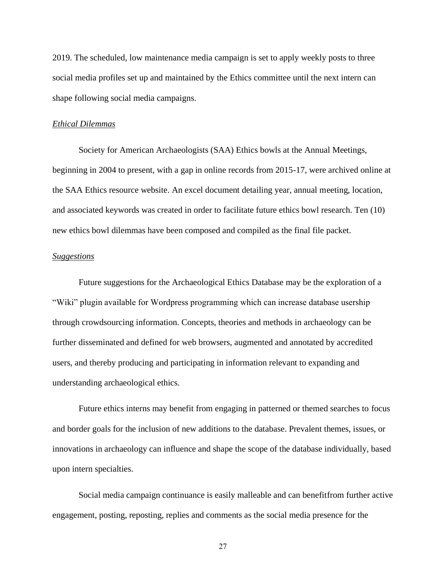2019. The scheduled, low maintenance media campaign is set to apply weekly posts to three social media profiles set up and maintained by the Ethics committee until the next intern can shape following social media campaigns.

#### *Ethical Dilemmas*

Society for American Archaeologists (SAA) Ethics bowls at the Annual Meetings, beginning in 2004 to present, with a gap in online records from 2015-17, were archived online at the SAA Ethics resource website. An excel document detailing year, annual meeting, location, and associated keywords was created in order to facilitate future ethics bowl research. Ten (10) new ethics bowl dilemmas have been composed and compiled as the final file packet.

# *Suggestions*

Future suggestions for the Archaeological Ethics Database may be the exploration of a "Wiki" plugin available for Wordpress programming which can increase database usership through crowdsourcing information. Concepts, theories and methods in archaeology can be further disseminated and defined for web browsers, augmented and annotated by accredited users, and thereby producing and participating in information relevant to expanding and understanding archaeological ethics.

Future ethics interns may benefit from engaging in patterned or themed searches to focus and border goals for the inclusion of new additions to the database. Prevalent themes, issues, or innovations in archaeology can influence and shape the scope of the database individually, based upon intern specialties.

Social media campaign continuance is easily malleable and can benefitfrom further active engagement, posting, reposting, replies and comments as the social media presence for the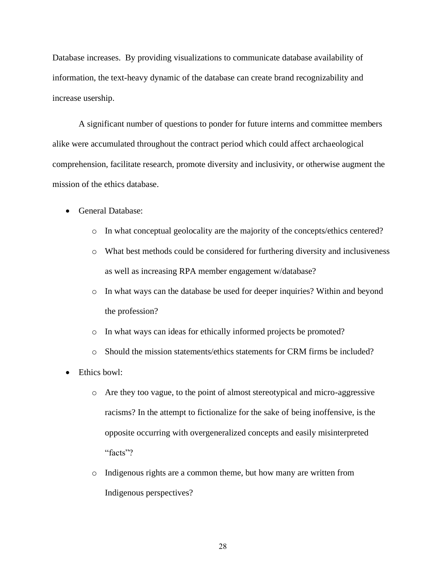Database increases. By providing visualizations to communicate database availability of information, the text-heavy dynamic of the database can create brand recognizability and increase usership.

A significant number of questions to ponder for future interns and committee members alike were accumulated throughout the contract period which could affect archaeological comprehension, facilitate research, promote diversity and inclusivity, or otherwise augment the mission of the ethics database.

- General Database:
	- o In what conceptual geolocality are the majority of the concepts/ethics centered?
	- o What best methods could be considered for furthering diversity and inclusiveness as well as increasing RPA member engagement w/database?
	- o In what ways can the database be used for deeper inquiries? Within and beyond the profession?
	- o In what ways can ideas for ethically informed projects be promoted?
	- o Should the mission statements/ethics statements for CRM firms be included?
- Ethics bowl:
	- o Are they too vague, to the point of almost stereotypical and micro-aggressive racisms? In the attempt to fictionalize for the sake of being inoffensive, is the opposite occurring with overgeneralized concepts and easily misinterpreted "facts"?
	- o Indigenous rights are a common theme, but how many are written from Indigenous perspectives?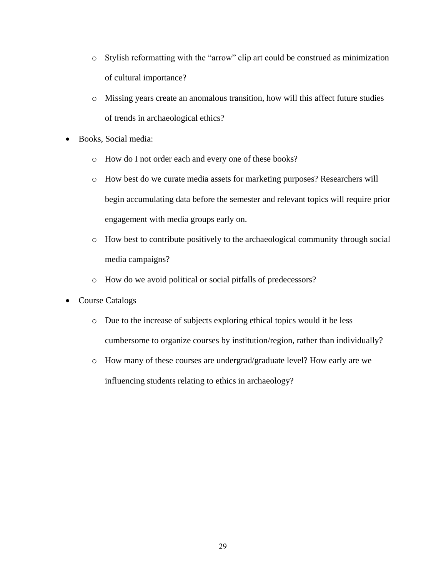- o Stylish reformatting with the "arrow" clip art could be construed as minimization of cultural importance?
- o Missing years create an anomalous transition, how will this affect future studies of trends in archaeological ethics?
- Books, Social media:
	- o How do I not order each and every one of these books?
	- o How best do we curate media assets for marketing purposes? Researchers will begin accumulating data before the semester and relevant topics will require prior engagement with media groups early on.
	- o How best to contribute positively to the archaeological community through social media campaigns?
	- o How do we avoid political or social pitfalls of predecessors?
- Course Catalogs
	- o Due to the increase of subjects exploring ethical topics would it be less cumbersome to organize courses by institution/region, rather than individually?
	- o How many of these courses are undergrad/graduate level? How early are we influencing students relating to ethics in archaeology?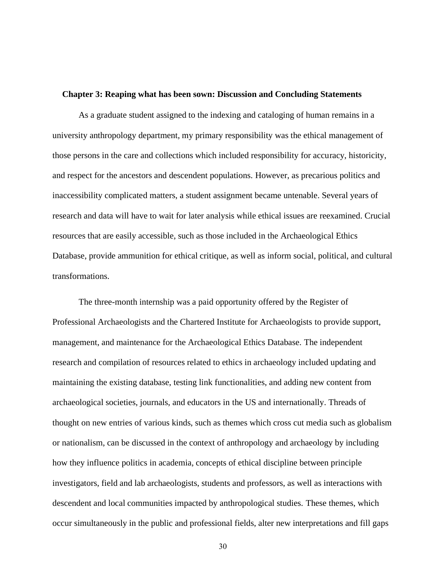#### **Chapter 3: Reaping what has been sown: Discussion and Concluding Statements**

As a graduate student assigned to the indexing and cataloging of human remains in a university anthropology department, my primary responsibility was the ethical management of those persons in the care and collections which included responsibility for accuracy, historicity, and respect for the ancestors and descendent populations. However, as precarious politics and inaccessibility complicated matters, a student assignment became untenable. Several years of research and data will have to wait for later analysis while ethical issues are reexamined. Crucial resources that are easily accessible, such as those included in the Archaeological Ethics Database, provide ammunition for ethical critique, as well as inform social, political, and cultural transformations.

The three-month internship was a paid opportunity offered by the Register of Professional Archaeologists and the Chartered Institute for Archaeologists to provide support, management, and maintenance for the Archaeological Ethics Database. The independent research and compilation of resources related to ethics in archaeology included updating and maintaining the existing database, testing link functionalities, and adding new content from archaeological societies, journals, and educators in the US and internationally. Threads of thought on new entries of various kinds, such as themes which cross cut media such as globalism or nationalism, can be discussed in the context of anthropology and archaeology by including how they influence politics in academia, concepts of ethical discipline between principle investigators, field and lab archaeologists, students and professors, as well as interactions with descendent and local communities impacted by anthropological studies. These themes, which occur simultaneously in the public and professional fields, alter new interpretations and fill gaps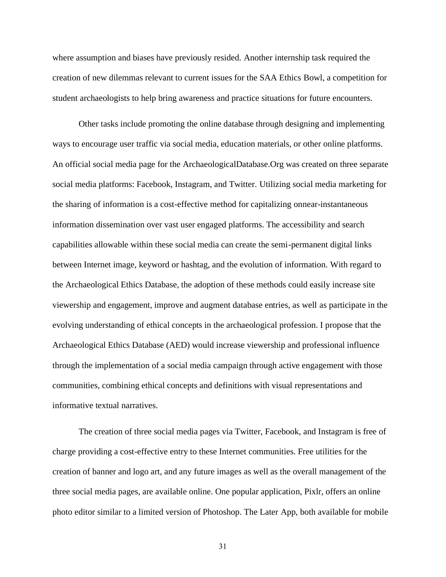where assumption and biases have previously resided. Another internship task required the creation of new dilemmas relevant to current issues for the SAA Ethics Bowl, a competition for student archaeologists to help bring awareness and practice situations for future encounters.

Other tasks include promoting the online database through designing and implementing ways to encourage user traffic via social media, education materials, or other online platforms. An official social media page for the ArchaeologicalDatabase.Org was created on three separate social media platforms: Facebook, Instagram, and Twitter. Utilizing social media marketing for the sharing of information is a cost-effective method for capitalizing onnear-instantaneous information dissemination over vast user engaged platforms. The accessibility and search capabilities allowable within these social media can create the semi-permanent digital links between Internet image, keyword or hashtag, and the evolution of information. With regard to the Archaeological Ethics Database, the adoption of these methods could easily increase site viewership and engagement, improve and augment database entries, as well as participate in the evolving understanding of ethical concepts in the archaeological profession. I propose that the Archaeological Ethics Database (AED) would increase viewership and professional influence through the implementation of a social media campaign through active engagement with those communities, combining ethical concepts and definitions with visual representations and informative textual narratives.

The creation of three social media pages via Twitter, Facebook, and Instagram is free of charge providing a cost-effective entry to these Internet communities. Free utilities for the creation of banner and logo art, and any future images as well as the overall management of the three social media pages, are available online. One popular application, Pixlr, offers an online photo editor similar to a limited version of Photoshop. The Later App, both available for mobile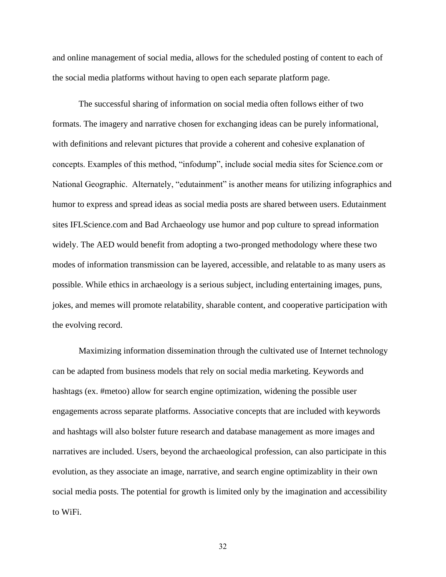and online management of social media, allows for the scheduled posting of content to each of the social media platforms without having to open each separate platform page.

The successful sharing of information on social media often follows either of two formats. The imagery and narrative chosen for exchanging ideas can be purely informational, with definitions and relevant pictures that provide a coherent and cohesive explanation of concepts. Examples of this method, "infodump", include social media sites for Science.com or National Geographic. Alternately, "edutainment" is another means for utilizing infographics and humor to express and spread ideas as social media posts are shared between users. Edutainment sites IFLScience.com and Bad Archaeology use humor and pop culture to spread information widely. The AED would benefit from adopting a two-pronged methodology where these two modes of information transmission can be layered, accessible, and relatable to as many users as possible. While ethics in archaeology is a serious subject, including entertaining images, puns, jokes, and memes will promote relatability, sharable content, and cooperative participation with the evolving record.

Maximizing information dissemination through the cultivated use of Internet technology can be adapted from business models that rely on social media marketing. Keywords and hashtags (ex. #metoo) allow for search engine optimization, widening the possible user engagements across separate platforms. Associative concepts that are included with keywords and hashtags will also bolster future research and database management as more images and narratives are included. Users, beyond the archaeological profession, can also participate in this evolution, as they associate an image, narrative, and search engine optimizablity in their own social media posts. The potential for growth is limited only by the imagination and accessibility to WiFi.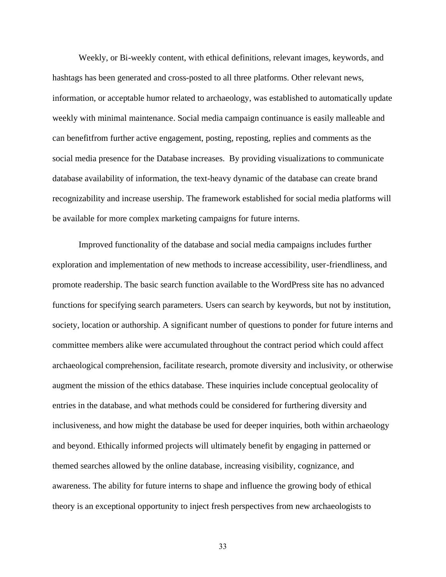Weekly, or Bi-weekly content, with ethical definitions, relevant images, keywords, and hashtags has been generated and cross-posted to all three platforms. Other relevant news, information, or acceptable humor related to archaeology, was established to automatically update weekly with minimal maintenance. Social media campaign continuance is easily malleable and can benefitfrom further active engagement, posting, reposting, replies and comments as the social media presence for the Database increases. By providing visualizations to communicate database availability of information, the text-heavy dynamic of the database can create brand recognizability and increase usership. The framework established for social media platforms will be available for more complex marketing campaigns for future interns.

Improved functionality of the database and social media campaigns includes further exploration and implementation of new methods to increase accessibility, user-friendliness, and promote readership. The basic search function available to the WordPress site has no advanced functions for specifying search parameters. Users can search by keywords, but not by institution, society, location or authorship. A significant number of questions to ponder for future interns and committee members alike were accumulated throughout the contract period which could affect archaeological comprehension, facilitate research, promote diversity and inclusivity, or otherwise augment the mission of the ethics database. These inquiries include conceptual geolocality of entries in the database, and what methods could be considered for furthering diversity and inclusiveness, and how might the database be used for deeper inquiries, both within archaeology and beyond. Ethically informed projects will ultimately benefit by engaging in patterned or themed searches allowed by the online database, increasing visibility, cognizance, and awareness. The ability for future interns to shape and influence the growing body of ethical theory is an exceptional opportunity to inject fresh perspectives from new archaeologists to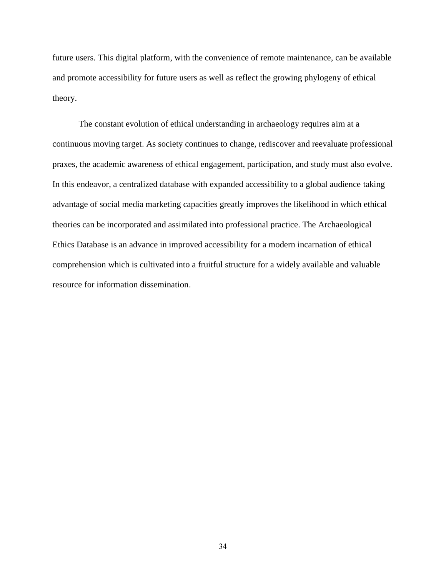future users. This digital platform, with the convenience of remote maintenance, can be available and promote accessibility for future users as well as reflect the growing phylogeny of ethical theory.

The constant evolution of ethical understanding in archaeology requires aim at a continuous moving target. As society continues to change, rediscover and reevaluate professional praxes, the academic awareness of ethical engagement, participation, and study must also evolve. In this endeavor, a centralized database with expanded accessibility to a global audience taking advantage of social media marketing capacities greatly improves the likelihood in which ethical theories can be incorporated and assimilated into professional practice. The Archaeological Ethics Database is an advance in improved accessibility for a modern incarnation of ethical comprehension which is cultivated into a fruitful structure for a widely available and valuable resource for information dissemination.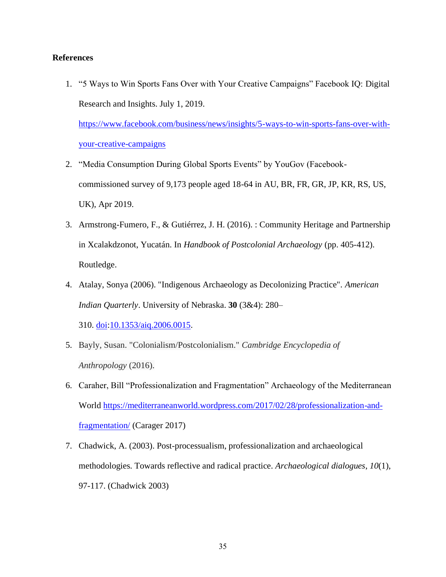# **References**

1. "5 Ways to Win Sports Fans Over with Your Creative Campaigns" Facebook IQ: Digital Research and Insights. July 1, 2019.

[https://www.facebook.com/business/news/insights/5-ways-to-win-sports-fans-over-with](https://www.facebook.com/business/news/insights/5-ways-to-win-sports-fans-over-with-your-creative-campaigns)[your-creative-campaigns](https://www.facebook.com/business/news/insights/5-ways-to-win-sports-fans-over-with-your-creative-campaigns)

- 2. "Media Consumption During Global Sports Events" by YouGov (Facebookcommissioned survey of 9,173 people aged 18-64 in AU, BR, FR, GR, JP, KR, RS, US, UK), Apr 2019.
- 3. Armstrong-Fumero, F., & Gutiérrez, J. H. (2016). : Community Heritage and Partnership in Xcalakdzonot, Yucatán. In *Handbook of Postcolonial Archaeology* (pp. 405-412). Routledge.
- 4. Atalay, Sonya (2006). "Indigenous Archaeology as Decolonizing Practice". *American Indian Quarterly*. University of Nebraska. **30** (3&4): 280–

310. [doi](https://en.wikipedia.org/wiki/Digital_object_identifier)[:10.1353/aiq.2006.0015.](https://doi.org/10.1353%2Faiq.2006.0015)

- 5. Bayly, Susan. "Colonialism/Postcolonialism." *Cambridge Encyclopedia of Anthropology* (2016).
- 6. Caraher, Bill "Professionalization and Fragmentation" Archaeology of the Mediterranean World [https://mediterraneanworld.wordpress.com/2017/02/28/professionalization-and](https://mediterraneanworld.wordpress.com/2017/02/28/professionalization-and-fragmentation/)[fragmentation/](https://mediterraneanworld.wordpress.com/2017/02/28/professionalization-and-fragmentation/) (Carager 2017)
- 7. Chadwick, A. (2003). Post-processualism, professionalization and archaeological methodologies. Towards reflective and radical practice. *Archaeological dialogues*, *10*(1), 97-117. (Chadwick 2003)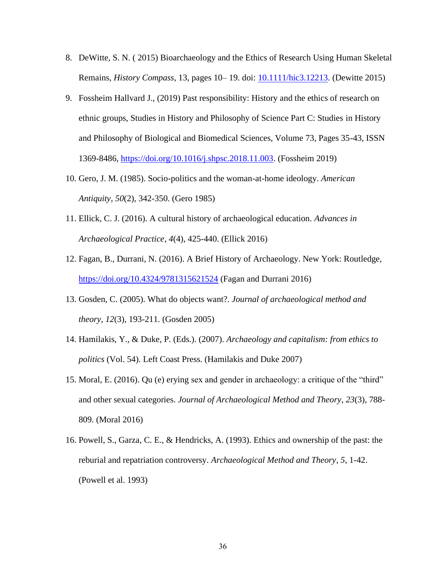- 8. DeWitte, S. N. ( 2015) Bioarchaeology and the Ethics of Research Using Human Skeletal Remains, *History Compass*, 13, pages 10– 19. doi: [10.1111/hic3.12213.](https://doi.org/10.1111/hic3.12213) (Dewitte 2015)
- 9. Fossheim Hallvard J., (2019) Past responsibility: History and the ethics of research on ethnic groups, Studies in History and Philosophy of Science Part C: Studies in History and Philosophy of Biological and Biomedical Sciences, Volume 73, Pages 35-43, ISSN 1369-8486, [https://doi.org/10.1016/j.shpsc.2018.11.003.](https://doi.org/10.1016/j.shpsc.2018.11.003) (Fossheim 2019)
- 10. Gero, J. M. (1985). Socio-politics and the woman-at-home ideology. *American Antiquity*, *50*(2), 342-350. (Gero 1985)
- 11. Ellick, C. J. (2016). A cultural history of archaeological education. *Advances in Archaeological Practice*, *4*(4), 425-440. (Ellick 2016)
- 12. Fagan, B., Durrani, N. (2016). A Brief History of Archaeology. New York: Routledge, <https://doi.org/10.4324/9781315621524> (Fagan and Durrani 2016)
- 13. Gosden, C. (2005). What do objects want?. *Journal of archaeological method and theory*, *12*(3), 193-211. (Gosden 2005)
- 14. Hamilakis, Y., & Duke, P. (Eds.). (2007). *Archaeology and capitalism: from ethics to politics* (Vol. 54). Left Coast Press. (Hamilakis and Duke 2007)
- 15. Moral, E. (2016). Qu (e) erying sex and gender in archaeology: a critique of the "third" and other sexual categories. *Journal of Archaeological Method and Theory*, *23*(3), 788- 809. (Moral 2016)
- 16. Powell, S., Garza, C. E., & Hendricks, A. (1993). Ethics and ownership of the past: the reburial and repatriation controversy. *Archaeological Method and Theory*, *5*, 1-42. (Powell et al. 1993)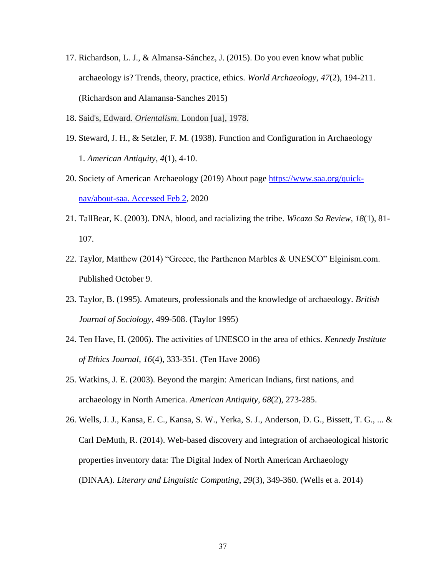- 17. Richardson, L. J., & Almansa-Sánchez, J. (2015). Do you even know what public archaeology is? Trends, theory, practice, ethics. *World Archaeology*, *47*(2), 194-211. (Richardson and Alamansa-Sanches 2015)
- 18. Said's, Edward. *Orientalism*. London [ua], 1978.
- 19. Steward, J. H., & Setzler, F. M. (1938). Function and Configuration in Archaeology 1. *American Antiquity*, *4*(1), 4-10.
- 20. Society of American Archaeology (2019) About page [https://www.saa.org/quick](https://www.saa.org/quick-nav/about-saa.%20Accessed%20Feb%202)[nav/about-saa. Accessed Feb 2,](https://www.saa.org/quick-nav/about-saa.%20Accessed%20Feb%202) 2020
- 21. TallBear, K. (2003). DNA, blood, and racializing the tribe. *Wicazo Sa Review*, *18*(1), 81- 107.
- 22. Taylor, Matthew (2014) "Greece, the Parthenon Marbles & UNESCO" Elginism.com. Published October 9.
- 23. Taylor, B. (1995). Amateurs, professionals and the knowledge of archaeology. *British Journal of Sociology*, 499-508. (Taylor 1995)
- 24. Ten Have, H. (2006). The activities of UNESCO in the area of ethics. *Kennedy Institute of Ethics Journal*, *16*(4), 333-351. (Ten Have 2006)
- 25. Watkins, J. E. (2003). Beyond the margin: American Indians, first nations, and archaeology in North America. *American Antiquity*, *68*(2), 273-285.
- 26. Wells, J. J., Kansa, E. C., Kansa, S. W., Yerka, S. J., Anderson, D. G., Bissett, T. G., ... & Carl DeMuth, R. (2014). Web-based discovery and integration of archaeological historic properties inventory data: The Digital Index of North American Archaeology (DINAA). *Literary and Linguistic Computing*, *29*(3), 349-360. (Wells et a. 2014)